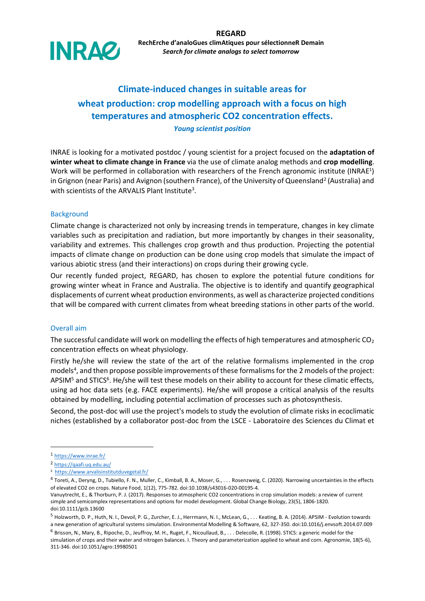

**REGARD RechErche d'analoGues climAtiques pour sélectionneR Demain** *Search for climate analogs to select tomorrow*

# **Climate-induced changes in suitable areas for wheat production: crop modelling approach with a focus on high temperatures and atmospheric CO2 concentration effects.**

*Young scientist position*

INRAE is looking for a motivated postdoc / young scientist for a project focused on the **adaptation of winter wheat to climate change in France** via the use of climate analog methods and **crop modelling**. Work will be performed in collaboration with researchers of the French agronomic institute (INRAE<sup>1</sup>) in Grignon (near Paris) and Avignon (southern France), of the University of Queensland<sup>2</sup> (Australia) and with scientists of the ARVALIS Plant Institute<sup>3</sup>.

### **Background**

Climate change is characterized not only by increasing trends in temperature, changes in key climate variables such as precipitation and radiation, but more importantly by changes in their seasonality, variability and extremes. This challenges crop growth and thus production. Projecting the potential impacts of climate change on production can be done using crop models that simulate the impact of various abiotic stress (and their interactions) on crops during their growing cycle.

Our recently funded project, REGARD, has chosen to explore the potential future conditions for growing winter wheat in France and Australia. The objective is to identify and quantify geographical displacements of current wheat production environments, as well as characterize projected conditions that will be compared with current climates from wheat breeding stations in other parts of the world.

#### Overall aim

The successful candidate will work on modelling the effects of high temperatures and atmospheric  $CO<sub>2</sub>$ concentration effects on wheat physiology.

Firstly he/she will review the state of the art of the relative formalisms implemented in the crop models<sup>4</sup>, and then propose possible improvements of these formalisms for the 2 models of the project: APSIM<sup>5</sup> and STICS<sup>6</sup>. He/she will test these models on their ability to account for these climatic effects, using ad hoc data sets (e.g. FACE experiments). He/she will propose a critical analysis of the results obtained by modelling, including potential acclimation of processes such as photosynthesis.

Second, the post-doc will use the project's models to study the evolution of climate risks in ecoclimatic niches (established by a collaborator post-doc from the LSCE - Laboratoire des Sciences du Climat et

<sup>1</sup> <https://www.inrae.fr/>

<sup>2</sup> https://gaafi.uq.edu.au/

<sup>3</sup> [https://www.arvalisinstitutduvegetal.fr/](https://www.arvalisinstitutduvegetal.fr/page-d-accueil-@/view-1318-category.html)

<sup>4</sup> Toreti, A., Deryng, D., Tubiello, F. N., Muller, C., Kimball, B. A., Moser, G., . . . Rosenzweig, C. (2020). Narrowing uncertainties in the effects of elevated CO2 on crops. Nature Food, 1(12), 775-782. doi:10.1038/s43016-020-00195-4.

Vanuytrecht, E., & Thorburn, P. J. (2017). Responses to atmospheric CO2 concentrations in crop simulation models: a review of current simple and semicomplex representations and options for model development. Global Change Biology, 23(5), 1806-1820. doi:10.1111/gcb.13600

<sup>5</sup> Holzworth, D. P., Huth, N. I., Devoil, P. G., Zurcher, E. J., Herrmann, N. I., McLean, G., . . . Keating, B. A. (2014). APSIM - Evolution towards a new generation of agricultural systems simulation. Environmental Modelling & Software, 62, 327-350. doi:10.1016/j.envsoft.2014.07.009

<sup>6</sup> Brisson, N., Mary, B., Ripoche, D., Jeuffroy, M. H., Ruget, F., Nicoullaud, B., . . . Delecolle, R. (1998). STICS: a generic model for the simulation of crops and their water and nitrogen balances. I. Theory and parameterization applied to wheat and corn. Agronomie, 18(5-6), 311-346. doi:10.1051/agro:19980501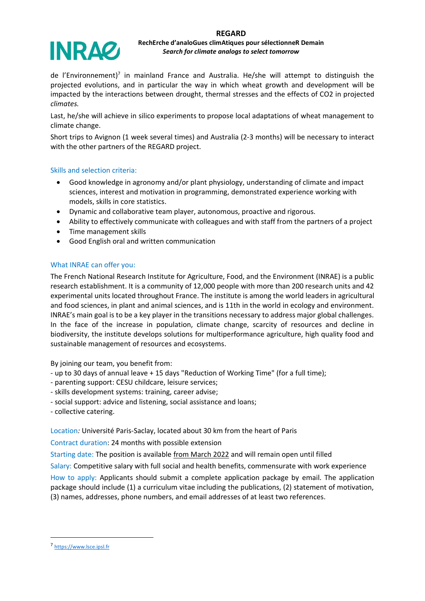### **REGARD**



#### **RechErche d'analoGues climAtiques pour sélectionneR Demain** *Search for climate analogs to select tomorrow*

de l'Environnement)<sup>7</sup> in mainland France and Australia. He/she will attempt to distinguish the projected evolutions, and in particular the way in which wheat growth and development will be impacted by the interactions between drought, thermal stresses and the effects of CO2 in projected *climates.* 

Last, he/she will achieve in silico experiments to propose local adaptations of wheat management to climate change.

Short trips to Avignon (1 week several times) and Australia (2-3 months) will be necessary to interact with the other partners of the REGARD project.

# Skills and selection criteria:

- Good knowledge in agronomy and/or plant physiology, understanding of climate and impact sciences, interest and motivation in programming, demonstrated experience working with models, skills in core statistics.
- Dynamic and collaborative team player, autonomous, proactive and rigorous.
- Ability to effectively communicate with colleagues and with staff from the partners of a project
- Time management skills
- Good English oral and written communication

# What INRAE can offer you:

The French National Research Institute for Agriculture, Food, and the Environment (INRAE) is a public research establishment. It is a community of 12,000 people with more than 200 research units and 42 experimental units located throughout France. The institute is among the world leaders in agricultural and food sciences, in plant and animal sciences, and is 11th in the world in ecology and environment. INRAE's main goal is to be a key player in the transitions necessary to address major global challenges. In the face of the increase in population, climate change, scarcity of resources and decline in biodiversity, the institute develops solutions for multiperformance agriculture, high quality food and sustainable management of resources and ecosystems.

By joining our team, you benefit from:

- up to 30 days of annual leave + 15 days "Reduction of Working Time" (for a full time);
- [parenting support:](https://jobs.inrae.fr/en/news/good-work-life-balance#anchor1_3) CESU childcare, leisure services;
- skills development systems: [training,](https://jobs.inrae.fr/en/news/develop-your-skills) [career advise;](https://jobs.inrae.fr/en/news/receive-career-advice)
- [social support:](https://jobs.inrae.infrawan.fr/en/news/social-support) advice and listening, social assistance and loans;
- collective catering.

Location*:* Université Paris-Saclay, located about 30 km from the heart of Paris

Contract duration: 24 months with possible extension

Starting date: The position is available from March 2022 and will remain open until filled

Salary: Competitive salary with full social and health benefits, commensurate with work experience

How to apply: Applicants should submit a complete application package by email. The application package should include (1) a curriculum vitae including the publications, (2) statement of motivation, (3) names, addresses, phone numbers, and email addresses of at least two references.

<sup>7</sup> https://www.lsce.ipsl.fr